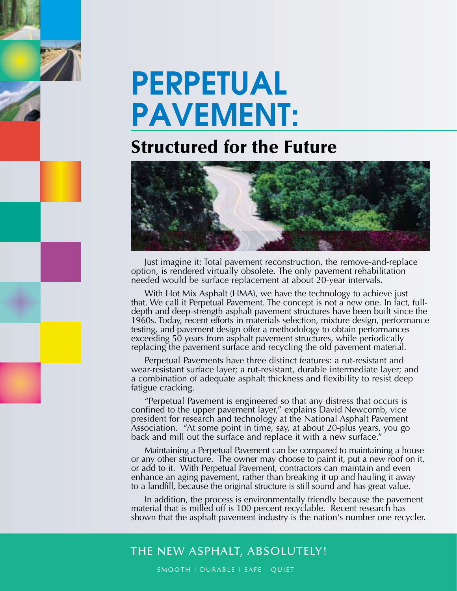# **PERPETUAL PAVEMENT:**

## **Structured for the Future**



Just imagine it: Total pavement reconstruction, the remove-and-replace option, is rendered virtually obsolete. The only pavement rehabilitation needed would be surface replacement at about 20-year intervals.

With Hot Mix Asphalt (HMA), we have the technology to achieve just that. We call it Perpetual Pavement. The concept is not a new one. In fact, fulldepth and deep-strength asphalt pavement structures have been built since the 1960s. Today, recent efforts in materials selection, mixture design, performance testing, and pavement design offer a methodology to obtain performances exceeding 50 years from asphalt pavement structures, while periodically replacing the pavement surface and recycling the old pavement material.

Perpetual Pavements have three distinct features: a rut-resistant and wear-resistant surface layer; a rut-resistant, durable intermediate layer; and a combination of adequate asphalt thickness and flexibility to resist deep fatigue cracking.

"Perpetual Pavement is engineered so that any distress that occurs is confined to the upper pavement layer," explains David Newcomb, vice president for research and technology at the National Asphalt Pavement Association. "At some point in time, say, at about 20-plus years, you go back and mill out the surface and replace it with a new surface.

Maintaining a Perpetual Pavement can be compared to maintaining a house or any other structure. The owner may choose to paint it, put a new roof on it, or add to it. With Perpetual Pavement, contractors can maintain and even enhance an aging pavement, rather than breaking it up and hauling it away to a landfill, because the original structure is still sound and has great value.

In addition, the process is environmentally friendly because the pavement material that is milled off is 100 percent recyclable. Recent research has shown that the asphalt pavement industry is the nation's number one recycler.

### THE NEW ASPHALT, ABSOLUTELY!

SMOOTH | DURABLE | SAFE | QUIET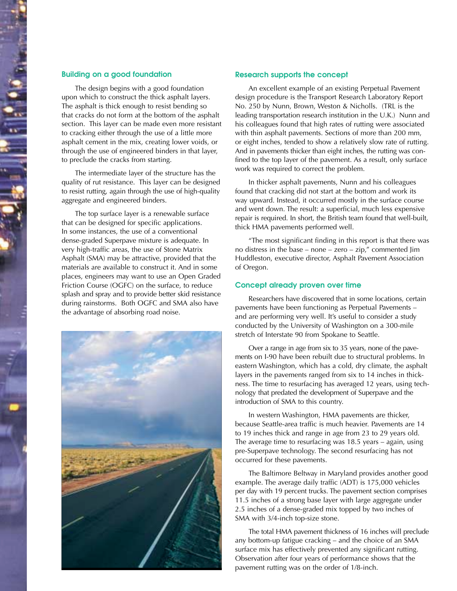#### **Building on a good foundation**

The design begins with a good foundation upon which to construct the thick asphalt layers. The asphalt is thick enough to resist bending so that cracks do not form at the bottom of the asphalt section. This layer can be made even more resistant to cracking either through the use of a little more asphalt cement in the mix, creating lower voids, or through the use of engineered binders in that layer, to preclude the cracks from starting.

The intermediate layer of the structure has the quality of rut resistance. This layer can be designed to resist rutting, again through the use of high-quality aggregate and engineered binders.

The top surface layer is a renewable surface that can be designed for specific applications. In some instances, the use of a conventional dense-graded Superpave mixture is adequate. In very high-traffic areas, the use of Stone Matrix Asphalt (SMA) may be attractive, provided that the materials are available to construct it. And in some places, engineers may want to use an Open Graded Friction Course (OGFC) on the surface, to reduce splash and spray and to provide better skid resistance during rainstorms. Both OGFC and SMA also have the advantage of absorbing road noise.



#### **Research supports the concept**

An excellent example of an existing Perpetual Pavement design procedure is the Transport Research Laboratory Report No. 250 by Nunn, Brown, Weston & Nicholls. (TRL is the leading transportation research institution in the U.K.) Nunn and his colleagues found that high rates of rutting were associated with thin asphalt pavements. Sections of more than 200 mm, or eight inches, tended to show a relatively slow rate of rutting. And in pavements thicker than eight inches, the rutting was confined to the top layer of the pavement. As a result, only surface work was required to correct the problem.

In thicker asphalt pavements, Nunn and his colleagues found that cracking did not start at the bottom and work its way upward. Instead, it occurred mostly in the surface course and went down. The result: a superficial, much less expensive repair is required. In short, the British team found that well-built, thick HMA pavements performed well.

"The most significant finding in this report is that there was no distress in the base – none – zero – zip," commented Jim Huddleston, executive director, Asphalt Pavement Association of Oregon.

#### **Concept already proven over time**

Researchers have discovered that in some locations, certain pavements have been functioning as Perpetual Pavements – and are performing very well. It's useful to consider a study conducted by the University of Washington on a 300-mile stretch of Interstate 90 from Spokane to Seattle.

Over a range in age from six to 35 years, none of the pavements on I-90 have been rebuilt due to structural problems. In eastern Washington, which has a cold, dry climate, the asphalt layers in the pavements ranged from six to 14 inches in thickness. The time to resurfacing has averaged 12 years, using technology that predated the development of Superpave and the introduction of SMA to this country.

In western Washington, HMA pavements are thicker, because Seattle-area traffic is much heavier. Pavements are 14 to 19 inches thick and range in age from 23 to 29 years old. The average time to resurfacing was 18.5 years – again, using pre-Superpave technology. The second resurfacing has not occurred for these pavements.

The Baltimore Beltway in Maryland provides another good example. The average daily traffic (ADT) is 175,000 vehicles per day with 19 percent trucks. The pavement section comprises 11.5 inches of a strong base layer with large aggregate under 2.5 inches of a dense-graded mix topped by two inches of SMA with 3/4-inch top-size stone.

The total HMA pavement thickness of 16 inches will preclude any bottom-up fatigue cracking – and the choice of an SMA surface mix has effectively prevented any significant rutting. Observation after four years of performance shows that the pavement rutting was on the order of 1/8-inch.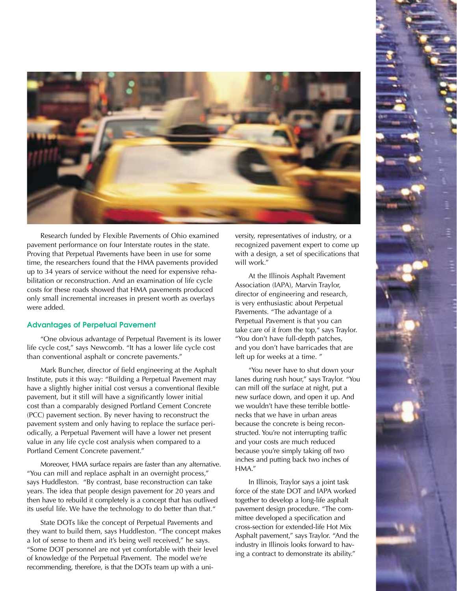

Research funded by Flexible Pavements of Ohio examined pavement performance on four Interstate routes in the state. Proving that Perpetual Pavements have been in use for some time, the researchers found that the HMA pavements provided up to 34 years of service without the need for expensive rehabilitation or reconstruction. And an examination of life cycle costs for these roads showed that HMA pavements produced only small incremental increases in present worth as overlays were added.

#### **Advantages of Perpetual Pavement**

"One obvious advantage of Perpetual Pavement is its lower life cycle cost," says Newcomb. "It has a lower life cycle cost than conventional asphalt or concrete pavements."

Mark Buncher, director of field engineering at the Asphalt Institute, puts it this way: "Building a Perpetual Pavement may have a slightly higher initial cost versus a conventional flexible pavement, but it still will have a significantly lower initial cost than a comparably designed Portland Cement Concrete (PCC) pavement section. By never having to reconstruct the pavement system and only having to replace the surface periodically, a Perpetual Pavement will have a lower net present value in any life cycle cost analysis when compared to a Portland Cement Concrete pavement."

Moreover, HMA surface repairs are faster than any alternative. "You can mill and replace asphalt in an overnight process," says Huddleston. "By contrast, base reconstruction can take years. The idea that people design pavement for 20 years and then have to rebuild it completely is a concept that has outlived its useful life. We have the technology to do better than that."

State DOTs like the concept of Perpetual Pavements and they want to build them, says Huddleston. "The concept makes a lot of sense to them and it's being well received," he says. "Some DOT personnel are not yet comfortable with their level of knowledge of the Perpetual Pavement. The model we're recommending, therefore, is that the DOTs team up with a university, representatives of industry, or a recognized pavement expert to come up with a design, a set of specifications that will work."

At the Illinois Asphalt Pavement Association (IAPA), Marvin Traylor, director of engineering and research, is very enthusiastic about Perpetual Pavements. "The advantage of a Perpetual Pavement is that you can take care of it from the top," says Traylor. "You don't have full-depth patches, and you don't have barricades that are left up for weeks at a time. "

"You never have to shut down your lanes during rush hour," says Traylor. "You can mill off the surface at night, put a new surface down, and open it up. And we wouldn't have these terrible bottlenecks that we have in urban areas because the concrete is being reconstructed. You're not interrupting traffic and your costs are much reduced because you're simply taking off two inches and putting back two inches of HMA."

In Illinois, Traylor says a joint task force of the state DOT and IAPA worked together to develop a long-life asphalt pavement design procedure. "The committee developed a specification and cross-section for extended-life Hot Mix Asphalt pavement," says Traylor. "And the industry in Illinois looks forward to having a contract to demonstrate its ability."